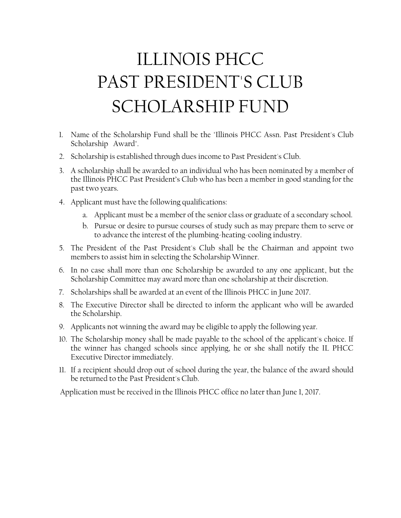## ILLINOIS PHCC PAST PRESIDENT'S CLUB SCHOLARSHIP FUND

- 1. Name of the Scholarship Fund shall be the "Illinois PHCC Assn. Past President's Club Scholarship Award".
- 2. Scholarship is established through dues income to Past President's Club.
- 3. A scholarship shall be awarded to an individual who has been nominated by a member of the Illinois PHCC Past President's Club who has been a member in good standing for the past two years.
- 4. Applicant must have the following qualifications:
	- a. Applicant must be a member of the senior class or graduate of a secondary school.
	- b. Pursue or desire to pursue courses of study such as may prepare them to serve or to advance the interest of the plumbing-heating-cooling industry.
- 5. The President of the Past President's Club shall be the Chairman and appoint two members to assist him in selecting the Scholarship Winner.
- 6. In no case shall more than one Scholarship be awarded to any one applicant, but the Scholarship Committee may award more than one scholarship at their discretion.
- 7. Scholarships shall be awarded at an event of the Illinois PHCC in June 2017.
- 8. The Executive Director shall be directed to inform the applicant who will be awarded the Scholarship.
- 9. Applicants not winning the award may be eligible to apply the following year.
- 10. The Scholarship money shall be made payable to the school of the applicant's choice. If the winner has changed schools since applying, he or she shall notify the IL PHCC Executive Director immediately.
- 11. If a recipient should drop out of school during the year, the balance of the award should be returned to the Past President's Club.

Application must be received in the Illinois PHCC office no later than June 1, 2017.